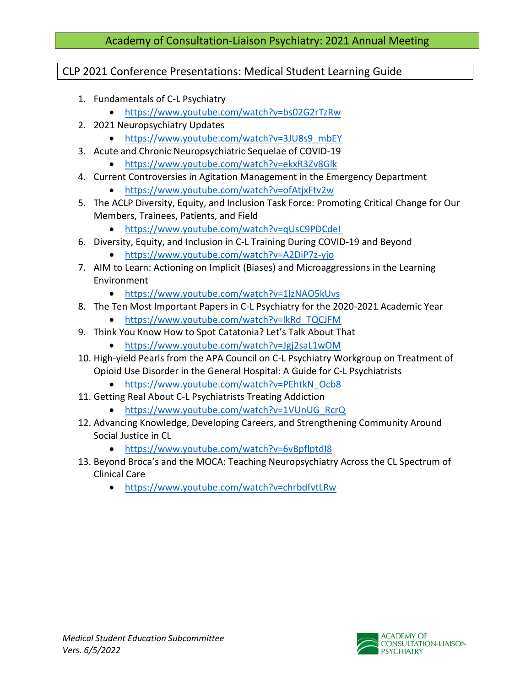# CLP 2021 Conference Presentations: Medical Student Learning Guide

- 1. Fundamentals of C-L Psychiatry
	- <https://www.youtube.com/watch?v=bs02G2rTzRw>
- 2. 2021 Neuropsychiatry Updates
	- [https://www.youtube.com/watch?v=3JU8s9\\_mbEY](https://www.youtube.com/watch?v=3JU8s9_mbEY)
- 3. Acute and Chronic Neuropsychiatric Sequelae of COVID-19
	- <https://www.youtube.com/watch?v=ekxR3Zv8Glk>
- 4. Current Controversies in Agitation Management in the Emergency Department
	- <https://www.youtube.com/watch?v=ofAtjxFtv2w>
- 5. The ACLP Diversity, Equity, and Inclusion Task Force: Promoting Critical Change for Our Members, Trainees, Patients, and Field
	- [https://www.youtube.com/watch?v=qUsC9PDCdeI](https://www.youtube.com/watch?v=qUsC9PDCdeI )
- 6. Diversity, Equity, and Inclusion in C-L Training During COVID-19 and Beyond
	- <https://www.youtube.com/watch?v=A2DiP7z-yjo>
- 7. AIM to Learn: Actioning on Implicit (Biases) and Microaggressions in the Learning Environment
	- <https://www.youtube.com/watch?v=1lzNAO5kUvs>
- 8. The Ten Most Important Papers in C-L Psychiatry for the 2020-2021 Academic Year
	- [https://www.youtube.com/watch?v=lkRd\\_TQCJFM](https://www.youtube.com/watch?v=lkRd_TQCJFM)
- 9. Think You Know How to Spot Catatonia? Let's Talk About That
	- <https://www.youtube.com/watch?v=Jgj2saL1wOM>
- 10. High-yield Pearls from the APA Council on C-L Psychiatry Workgroup on Treatment of Opioid Use Disorder in the General Hospital: A Guide for C-L Psychiatrists
	- [https://www.youtube.com/watch?v=PEhtkN\\_Ocb8](https://www.youtube.com/watch?v=PEhtkN_Ocb8)
- 11. Getting Real About C-L Psychiatrists Treating Addiction
	- [https://www.youtube.com/watch?v=1VUnUG\\_RcrQ](https://www.youtube.com/watch?v=1VUnUG_RcrQ)
- 12. Advancing Knowledge, Developing Careers, and Strengthening Community Around Social Justice in CL
	- <https://www.youtube.com/watch?v=6vBpflptdI8>
- 13. Beyond Broca's and the MOCA: Teaching Neuropsychiatry Across the CL Spectrum of Clinical Care
	- <https://www.youtube.com/watch?v=chrbdfvtLRw>

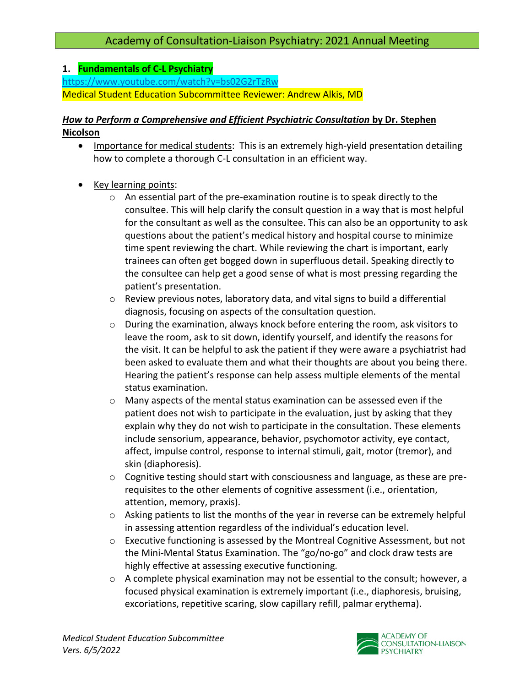## **1. Fundamentals of C-L Psychiatry**

<https://www.youtube.com/watch?v=bs02G2rTzRw> Medical Student Education Subcommittee Reviewer: Andrew Alkis, MD

# *How to Perform a Comprehensive and Efficient Psychiatric Consultation* **by Dr. Stephen Nicolson**

- Importance for medical students: This is an extremely high-yield presentation detailing how to complete a thorough C-L consultation in an efficient way.
- Key learning points:
	- $\circ$  An essential part of the pre-examination routine is to speak directly to the consultee. This will help clarify the consult question in a way that is most helpful for the consultant as well as the consultee. This can also be an opportunity to ask questions about the patient's medical history and hospital course to minimize time spent reviewing the chart. While reviewing the chart is important, early trainees can often get bogged down in superfluous detail. Speaking directly to the consultee can help get a good sense of what is most pressing regarding the patient's presentation.
	- $\circ$  Review previous notes, laboratory data, and vital signs to build a differential diagnosis, focusing on aspects of the consultation question.
	- o During the examination, always knock before entering the room, ask visitors to leave the room, ask to sit down, identify yourself, and identify the reasons for the visit. It can be helpful to ask the patient if they were aware a psychiatrist had been asked to evaluate them and what their thoughts are about you being there. Hearing the patient's response can help assess multiple elements of the mental status examination.
	- o Many aspects of the mental status examination can be assessed even if the patient does not wish to participate in the evaluation, just by asking that they explain why they do not wish to participate in the consultation. These elements include sensorium, appearance, behavior, psychomotor activity, eye contact, affect, impulse control, response to internal stimuli, gait, motor (tremor), and skin (diaphoresis).
	- o Cognitive testing should start with consciousness and language, as these are prerequisites to the other elements of cognitive assessment (i.e., orientation, attention, memory, praxis).
	- o Asking patients to list the months of the year in reverse can be extremely helpful in assessing attention regardless of the individual's education level.
	- $\circ$  Executive functioning is assessed by the Montreal Cognitive Assessment, but not the Mini-Mental Status Examination. The "go/no-go" and clock draw tests are highly effective at assessing executive functioning.
	- $\circ$  A complete physical examination may not be essential to the consult; however, a focused physical examination is extremely important (i.e., diaphoresis, bruising, excoriations, repetitive scaring, slow capillary refill, palmar erythema).

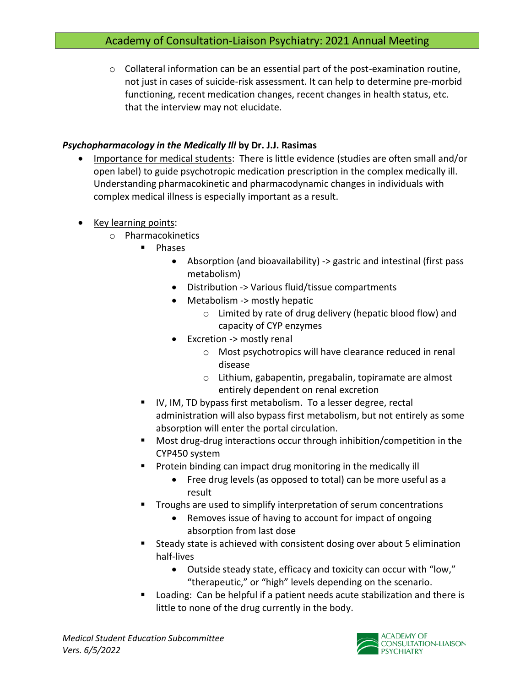$\circ$  Collateral information can be an essential part of the post-examination routine, not just in cases of suicide-risk assessment. It can help to determine pre-morbid functioning, recent medication changes, recent changes in health status, etc. that the interview may not elucidate.

## *Psychopharmacology in the Medically Ill* **by Dr. J.J. Rasimas**

- Importance for medical students: There is little evidence (studies are often small and/or open label) to guide psychotropic medication prescription in the complex medically ill. Understanding pharmacokinetic and pharmacodynamic changes in individuals with complex medical illness is especially important as a result.
- Key learning points:
	- o Pharmacokinetics
		- **Phases** 
			- Absorption (and bioavailability) -> gastric and intestinal (first pass metabolism)
			- Distribution -> Various fluid/tissue compartments
			- Metabolism -> mostly hepatic
				- o Limited by rate of drug delivery (hepatic blood flow) and capacity of CYP enzymes
			- Excretion -> mostly renal
				- o Most psychotropics will have clearance reduced in renal disease
				- o Lithium, gabapentin, pregabalin, topiramate are almost entirely dependent on renal excretion
		- IV, IM, TD bypass first metabolism. To a lesser degree, rectal administration will also bypass first metabolism, but not entirely as some absorption will enter the portal circulation.
		- Most drug-drug interactions occur through inhibition/competition in the CYP450 system
		- Protein binding can impact drug monitoring in the medically ill
			- Free drug levels (as opposed to total) can be more useful as a result
		- Troughs are used to simplify interpretation of serum concentrations
			- Removes issue of having to account for impact of ongoing absorption from last dose
		- Steady state is achieved with consistent dosing over about 5 elimination half-lives
			- Outside steady state, efficacy and toxicity can occur with "low," "therapeutic," or "high" levels depending on the scenario.
		- Loading: Can be helpful if a patient needs acute stabilization and there is little to none of the drug currently in the body.

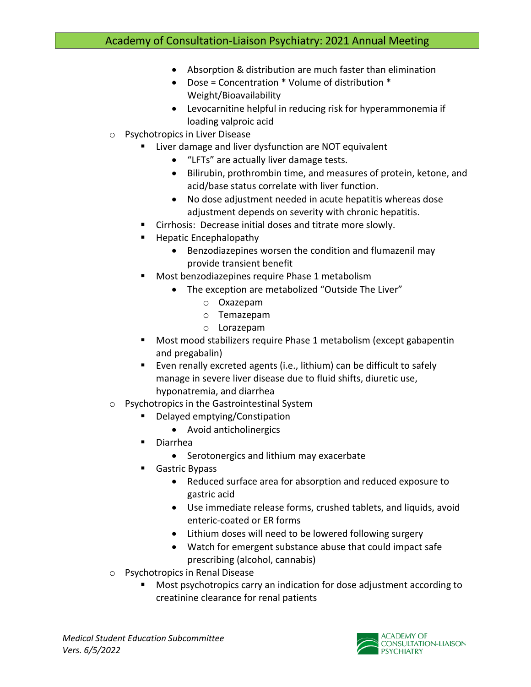- Absorption & distribution are much faster than elimination
- Dose = Concentration \* Volume of distribution \* Weight/Bioavailability
- Levocarnitine helpful in reducing risk for hyperammonemia if loading valproic acid
- o Psychotropics in Liver Disease
	- Liver damage and liver dysfunction are NOT equivalent
		- "LFTs" are actually liver damage tests.
		- Bilirubin, prothrombin time, and measures of protein, ketone, and acid/base status correlate with liver function.
		- No dose adjustment needed in acute hepatitis whereas dose adjustment depends on severity with chronic hepatitis.
	- Cirrhosis: Decrease initial doses and titrate more slowly.
	- Hepatic Encephalopathy
		- Benzodiazepines worsen the condition and flumazenil may provide transient benefit
	- Most benzodiazepines require Phase 1 metabolism
		- The exception are metabolized "Outside The Liver"
			- o Oxazepam
			- o Temazepam
			- o Lorazepam
	- Most mood stabilizers require Phase 1 metabolism (except gabapentin and pregabalin)
	- Even renally excreted agents (i.e., lithium) can be difficult to safely manage in severe liver disease due to fluid shifts, diuretic use, hyponatremia, and diarrhea
- o Psychotropics in the Gastrointestinal System
	- Delayed emptying/Constipation
		- Avoid anticholinergics
	- **Diarrhea** 
		- Serotonergics and lithium may exacerbate
	- Gastric Bypass
		- Reduced surface area for absorption and reduced exposure to gastric acid
		- Use immediate release forms, crushed tablets, and liquids, avoid enteric-coated or ER forms
		- Lithium doses will need to be lowered following surgery
		- Watch for emergent substance abuse that could impact safe prescribing (alcohol, cannabis)
- o Psychotropics in Renal Disease
	- Most psychotropics carry an indication for dose adjustment according to creatinine clearance for renal patients

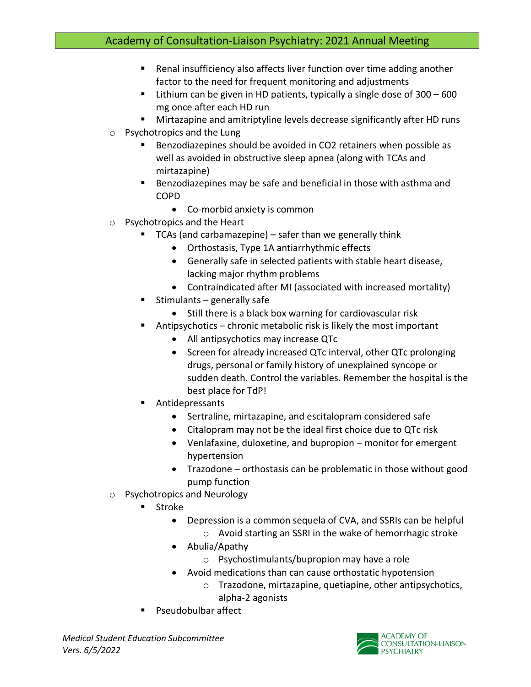- Renal insufficiency also affects liver function over time adding another factor to the need for frequent monitoring and adjustments
- **E** Lithium can be given in HD patients, typically a single dose of  $300 600$ mg once after each HD run
- Mirtazapine and amitriptyline levels decrease significantly after HD runs
- o Psychotropics and the Lung
	- Benzodiazepines should be avoided in CO2 retainers when possible as well as avoided in obstructive sleep apnea (along with TCAs and mirtazapine)
	- Benzodiazepines may be safe and beneficial in those with asthma and COPD
		- Co-morbid anxiety is common
- o Psychotropics and the Heart
	- $\blacksquare$  TCAs (and carbamazepine) safer than we generally think
		- Orthostasis, Type 1A antiarrhythmic effects
		- Generally safe in selected patients with stable heart disease, lacking major rhythm problems
		- Contraindicated after MI (associated with increased mortality)
	- Stimulants generally safe
		- Still there is a black box warning for cardiovascular risk
	- Antipsychotics chronic metabolic risk is likely the most important
		- All antipsychotics may increase QTc
		- Screen for already increased QTc interval, other QTc prolonging drugs, personal or family history of unexplained syncope or sudden death. Control the variables. Remember the hospital is the best place for TdP!
	- **Antidepressants** 
		- Sertraline, mirtazapine, and escitalopram considered safe
		- Citalopram may not be the ideal first choice due to QTc risk
		- Venlafaxine, duloxetine, and bupropion monitor for emergent hypertension
		- Trazodone orthostasis can be problematic in those without good pump function
- o Psychotropics and Neurology
	- Stroke
		- Depression is a common sequela of CVA, and SSRIs can be helpful
			- o Avoid starting an SSRI in the wake of hemorrhagic stroke
		- Abulia/Apathy
			- o Psychostimulants/bupropion may have a role
		- Avoid medications than can cause orthostatic hypotension
			- o Trazodone, mirtazapine, quetiapine, other antipsychotics, alpha-2 agonists
	- Pseudobulbar affect

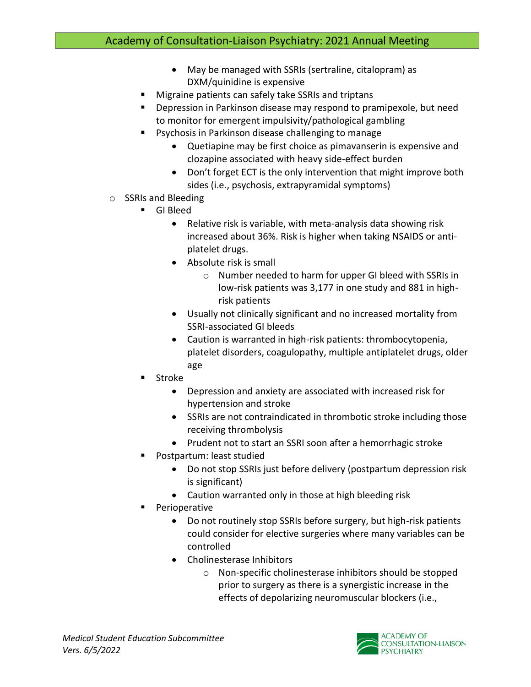- May be managed with SSRIs (sertraline, citalopram) as DXM/quinidine is expensive
- Migraine patients can safely take SSRIs and triptans
- Depression in Parkinson disease may respond to pramipexole, but need to monitor for emergent impulsivity/pathological gambling
- Psychosis in Parkinson disease challenging to manage
	- Quetiapine may be first choice as pimavanserin is expensive and clozapine associated with heavy side-effect burden
	- Don't forget ECT is the only intervention that might improve both sides (i.e., psychosis, extrapyramidal symptoms)
- o SSRIs and Bleeding
	- GI Bleed
		- Relative risk is variable, with meta-analysis data showing risk increased about 36%. Risk is higher when taking NSAIDS or antiplatelet drugs.
		- Absolute risk is small
			- o Number needed to harm for upper GI bleed with SSRIs in low-risk patients was 3,177 in one study and 881 in highrisk patients
		- Usually not clinically significant and no increased mortality from SSRI-associated GI bleeds
		- Caution is warranted in high-risk patients: thrombocytopenia, platelet disorders, coagulopathy, multiple antiplatelet drugs, older age
	- **Stroke** 
		- Depression and anxiety are associated with increased risk for hypertension and stroke
		- SSRIs are not contraindicated in thrombotic stroke including those receiving thrombolysis
		- Prudent not to start an SSRI soon after a hemorrhagic stroke
	- Postpartum: least studied
		- Do not stop SSRIs just before delivery (postpartum depression risk is significant)
		- Caution warranted only in those at high bleeding risk
	- Perioperative
		- Do not routinely stop SSRIs before surgery, but high-risk patients could consider for elective surgeries where many variables can be controlled
		- Cholinesterase Inhibitors
			- o Non-specific cholinesterase inhibitors should be stopped prior to surgery as there is a synergistic increase in the effects of depolarizing neuromuscular blockers (i.e.,

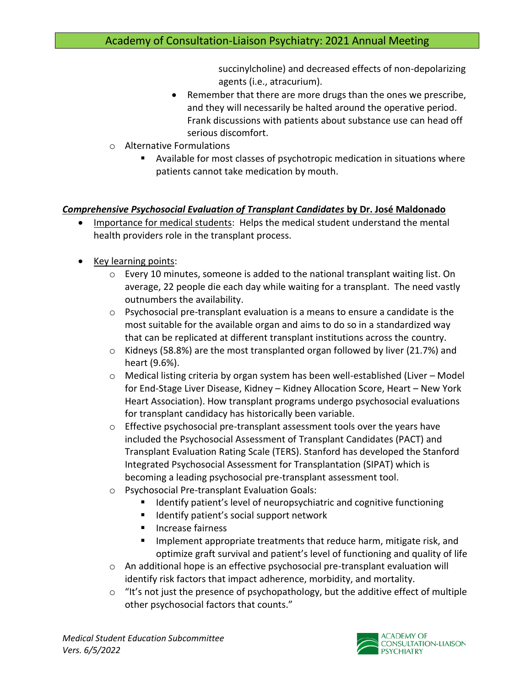succinylcholine) and decreased effects of non-depolarizing agents (i.e., atracurium).

- Remember that there are more drugs than the ones we prescribe, and they will necessarily be halted around the operative period. Frank discussions with patients about substance use can head off serious discomfort.
- o Alternative Formulations
	- Available for most classes of psychotropic medication in situations where patients cannot take medication by mouth.

## *Comprehensive Psychosocial Evaluation of Transplant Candidates* **by Dr. José Maldonado**

- Importance for medical students: Helps the medical student understand the mental health providers role in the transplant process.
- Key learning points:
	- $\circ$  Every 10 minutes, someone is added to the national transplant waiting list. On average, 22 people die each day while waiting for a transplant. The need vastly outnumbers the availability.
	- $\circ$  Psychosocial pre-transplant evaluation is a means to ensure a candidate is the most suitable for the available organ and aims to do so in a standardized way that can be replicated at different transplant institutions across the country.
	- $\circ$  Kidneys (58.8%) are the most transplanted organ followed by liver (21.7%) and heart (9.6%).
	- o Medical listing criteria by organ system has been well-established (Liver Model for End-Stage Liver Disease, Kidney – Kidney Allocation Score, Heart – New York Heart Association). How transplant programs undergo psychosocial evaluations for transplant candidacy has historically been variable.
	- $\circ$  Effective psychosocial pre-transplant assessment tools over the years have included the Psychosocial Assessment of Transplant Candidates (PACT) and Transplant Evaluation Rating Scale (TERS). Stanford has developed the Stanford Integrated Psychosocial Assessment for Transplantation (SIPAT) which is becoming a leading psychosocial pre-transplant assessment tool.
	- o Psychosocial Pre-transplant Evaluation Goals:
		- Identify patient's level of neuropsychiatric and cognitive functioning
		- Identify patient's social support network
		- Increase fairness
		- Implement appropriate treatments that reduce harm, mitigate risk, and optimize graft survival and patient's level of functioning and quality of life
	- o An additional hope is an effective psychosocial pre-transplant evaluation will identify risk factors that impact adherence, morbidity, and mortality.
	- $\circ$  "It's not just the presence of psychopathology, but the additive effect of multiple other psychosocial factors that counts."

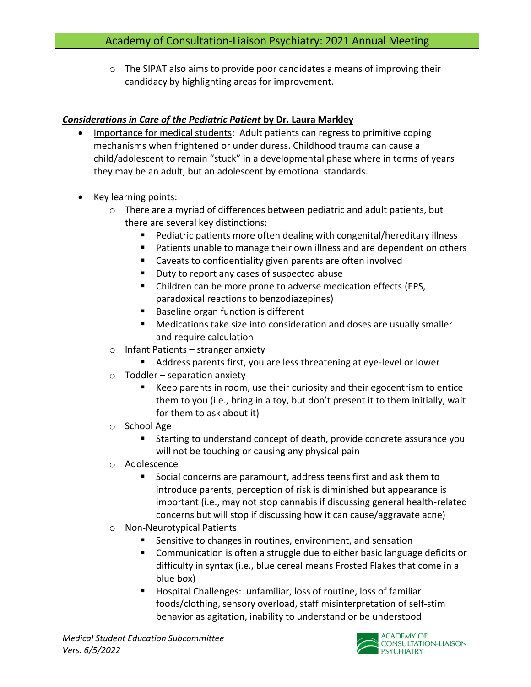$\circ$  The SIPAT also aims to provide poor candidates a means of improving their candidacy by highlighting areas for improvement.

## *Considerations in Care of the Pediatric Patient* **by Dr. Laura Markley**

- Importance for medical students: Adult patients can regress to primitive coping mechanisms when frightened or under duress. Childhood trauma can cause a child/adolescent to remain "stuck" in a developmental phase where in terms of years they may be an adult, but an adolescent by emotional standards.
- Key learning points:
	- o There are a myriad of differences between pediatric and adult patients, but there are several key distinctions:
		- Pediatric patients more often dealing with congenital/hereditary illness
		- Patients unable to manage their own illness and are dependent on others
		- Caveats to confidentiality given parents are often involved
		- Duty to report any cases of suspected abuse
		- Children can be more prone to adverse medication effects (EPS, paradoxical reactions to benzodiazepines)
		- Baseline organ function is different
		- Medications take size into consideration and doses are usually smaller and require calculation
	- $\circ$  Infant Patients stranger anxiety
		- Address parents first, you are less threatening at eye-level or lower
	- $\circ$  Toddler separation anxiety
		- Keep parents in room, use their curiosity and their egocentrism to entice them to you (i.e., bring in a toy, but don't present it to them initially, wait for them to ask about it)
	- o School Age
		- Starting to understand concept of death, provide concrete assurance you will not be touching or causing any physical pain
	- o Adolescence
		- Social concerns are paramount, address teens first and ask them to introduce parents, perception of risk is diminished but appearance is important (i.e., may not stop cannabis if discussing general health-related concerns but will stop if discussing how it can cause/aggravate acne)
	- o Non-Neurotypical Patients
		- Sensitive to changes in routines, environment, and sensation
		- Communication is often a struggle due to either basic language deficits or difficulty in syntax (i.e., blue cereal means Frosted Flakes that come in a blue box)
		- Hospital Challenges: unfamiliar, loss of routine, loss of familiar foods/clothing, sensory overload, staff misinterpretation of self-stim behavior as agitation, inability to understand or be understood

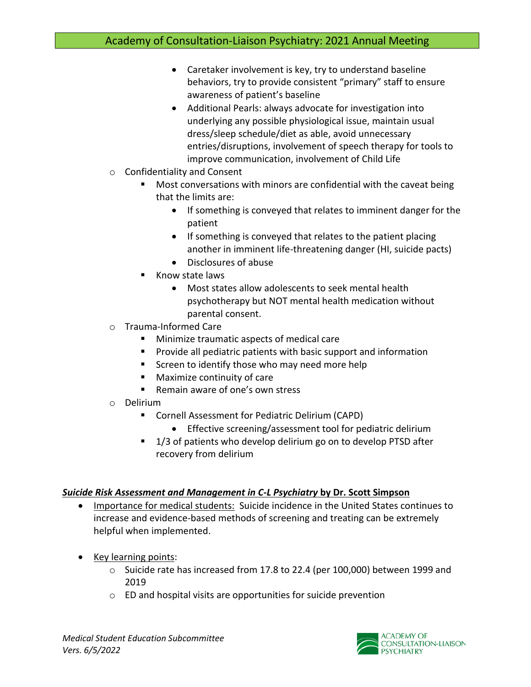- Caretaker involvement is key, try to understand baseline behaviors, try to provide consistent "primary" staff to ensure awareness of patient's baseline
- Additional Pearls: always advocate for investigation into underlying any possible physiological issue, maintain usual dress/sleep schedule/diet as able, avoid unnecessary entries/disruptions, involvement of speech therapy for tools to improve communication, involvement of Child Life
- o Confidentiality and Consent
	- Most conversations with minors are confidential with the caveat being that the limits are:
		- If something is conveyed that relates to imminent danger for the patient
		- If something is conveyed that relates to the patient placing another in imminent life-threatening danger (HI, suicide pacts)
		- Disclosures of abuse
	- **Know state laws** 
		- Most states allow adolescents to seek mental health psychotherapy but NOT mental health medication without parental consent.
- o Trauma-Informed Care
	- Minimize traumatic aspects of medical care
	- Provide all pediatric patients with basic support and information
	- Screen to identify those who may need more help
	- Maximize continuity of care
	- Remain aware of one's own stress
- o Delirium
	- Cornell Assessment for Pediatric Delirium (CAPD)
		- Effective screening/assessment tool for pediatric delirium
	- 1/3 of patients who develop delirium go on to develop PTSD after recovery from delirium

### *Suicide Risk Assessment and Management in C-L Psychiatry* **by Dr. Scott Simpson**

- Importance for medical students: Suicide incidence in the United States continues to increase and evidence-based methods of screening and treating can be extremely helpful when implemented.
- Key learning points:
	- $\circ$  Suicide rate has increased from 17.8 to 22.4 (per 100,000) between 1999 and 2019
	- o ED and hospital visits are opportunities for suicide prevention

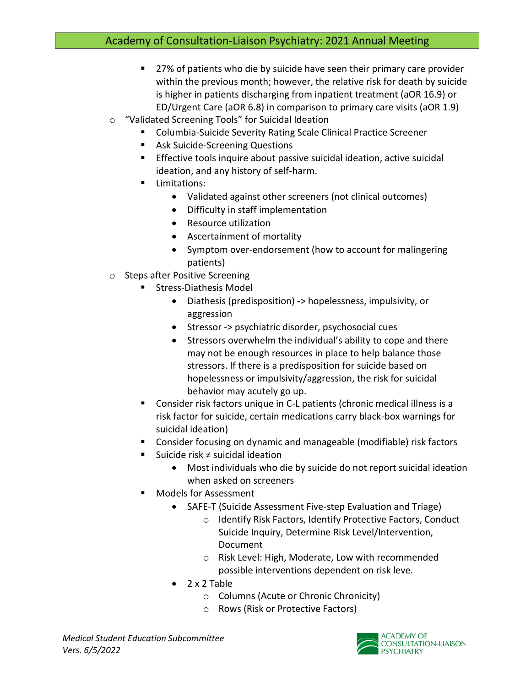- 27% of patients who die by suicide have seen their primary care provider within the previous month; however, the relative risk for death by suicide is higher in patients discharging from inpatient treatment (aOR 16.9) or ED/Urgent Care (aOR 6.8) in comparison to primary care visits (aOR 1.9)
- o "Validated Screening Tools" for Suicidal Ideation
	- Columbia-Suicide Severity Rating Scale Clinical Practice Screener
	- Ask Suicide-Screening Questions
	- **Effective tools inquire about passive suicidal ideation, active suicidal** ideation, and any history of self-harm.
	- Limitations:
		- Validated against other screeners (not clinical outcomes)
		- Difficulty in staff implementation
		- Resource utilization
		- Ascertainment of mortality
		- Symptom over-endorsement (how to account for malingering patients)
- o Steps after Positive Screening
	- Stress-Diathesis Model
		- Diathesis (predisposition) -> hopelessness, impulsivity, or aggression
		- Stressor -> psychiatric disorder, psychosocial cues
		- Stressors overwhelm the individual's ability to cope and there may not be enough resources in place to help balance those stressors. If there is a predisposition for suicide based on hopelessness or impulsivity/aggression, the risk for suicidal behavior may acutely go up.
	- Consider risk factors unique in C-L patients (chronic medical illness is a risk factor for suicide, certain medications carry black-box warnings for suicidal ideation)
	- Consider focusing on dynamic and manageable (modifiable) risk factors
	- Suicide risk ≠ suicidal ideation
		- Most individuals who die by suicide do not report suicidal ideation when asked on screeners
	- Models for Assessment
		- SAFE-T (Suicide Assessment Five-step Evaluation and Triage)
			- o Identify Risk Factors, Identify Protective Factors, Conduct Suicide Inquiry, Determine Risk Level/Intervention, Document
			- o Risk Level: High, Moderate, Low with recommended possible interventions dependent on risk leve.
		- 2 x 2 Table
			- o Columns (Acute or Chronic Chronicity)
			- o Rows (Risk or Protective Factors)

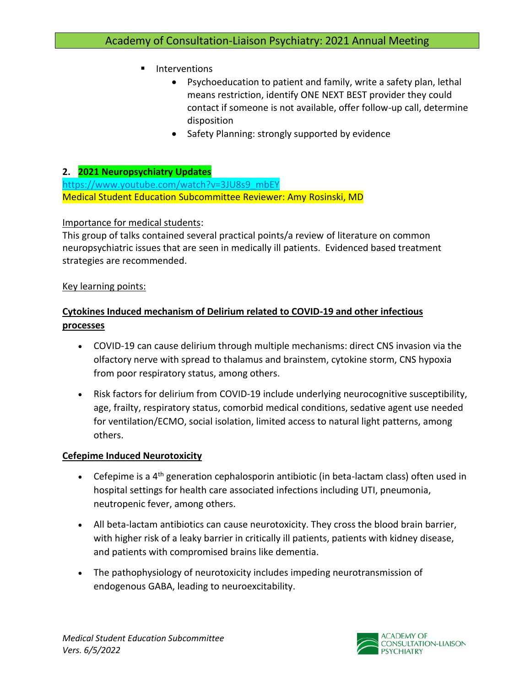- **Interventions** 
	- Psychoeducation to patient and family, write a safety plan, lethal means restriction, identify ONE NEXT BEST provider they could contact if someone is not available, offer follow-up call, determine disposition
	- Safety Planning: strongly supported by evidence

## **2. 2021 Neuropsychiatry Updates**

[https://www.youtube.com/watch?v=3JU8s9\\_mbEY](https://www.youtube.com/watch?v=3JU8s9_mbEY) Medical Student Education Subcommittee Reviewer: Amy Rosinski, MD

### Importance for medical students:

This group of talks contained several practical points/a review of literature on common neuropsychiatric issues that are seen in medically ill patients. Evidenced based treatment strategies are recommended.

### Key learning points:

# **Cytokines Induced mechanism of Delirium related to COVID-19 and other infectious processes**

- COVID-19 can cause delirium through multiple mechanisms: direct CNS invasion via the olfactory nerve with spread to thalamus and brainstem, cytokine storm, CNS hypoxia from poor respiratory status, among others.
- Risk factors for delirium from COVID-19 include underlying neurocognitive susceptibility, age, frailty, respiratory status, comorbid medical conditions, sedative agent use needed for ventilation/ECMO, social isolation, limited access to natural light patterns, among others.

### **Cefepime Induced Neurotoxicity**

- Cefepime is a  $4<sup>th</sup>$  generation cephalosporin antibiotic (in beta-lactam class) often used in hospital settings for health care associated infections including UTI, pneumonia, neutropenic fever, among others.
- All beta-lactam antibiotics can cause neurotoxicity. They cross the blood brain barrier, with higher risk of a leaky barrier in critically ill patients, patients with kidney disease, and patients with compromised brains like dementia.
- The pathophysiology of neurotoxicity includes impeding neurotransmission of endogenous GABA, leading to neuroexcitability.

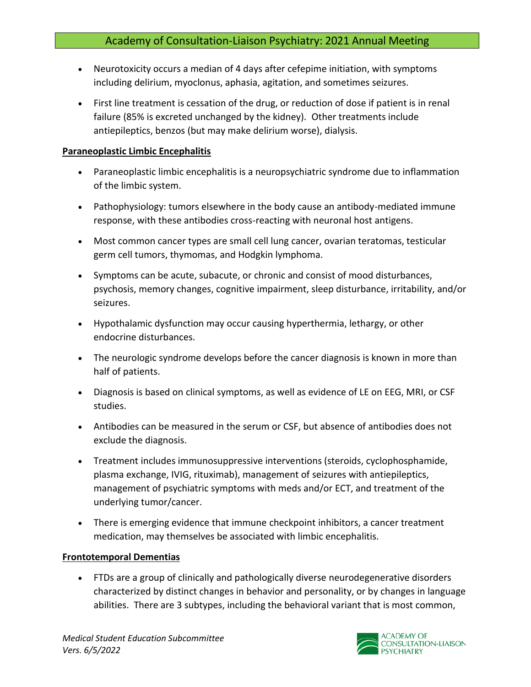- Neurotoxicity occurs a median of 4 days after cefepime initiation, with symptoms including delirium, myoclonus, aphasia, agitation, and sometimes seizures.
- First line treatment is cessation of the drug, or reduction of dose if patient is in renal failure (85% is excreted unchanged by the kidney). Other treatments include antiepileptics, benzos (but may make delirium worse), dialysis.

#### **Paraneoplastic Limbic Encephalitis**

- Paraneoplastic limbic encephalitis is a neuropsychiatric syndrome due to inflammation of the limbic system.
- Pathophysiology: tumors elsewhere in the body cause an antibody-mediated immune response, with these antibodies cross-reacting with neuronal host antigens.
- Most common cancer types are small cell lung cancer, ovarian teratomas, testicular germ cell tumors, thymomas, and Hodgkin lymphoma.
- Symptoms can be acute, subacute, or chronic and consist of mood disturbances, psychosis, memory changes, cognitive impairment, sleep disturbance, irritability, and/or seizures.
- Hypothalamic dysfunction may occur causing hyperthermia, lethargy, or other endocrine disturbances.
- The neurologic syndrome develops before the cancer diagnosis is known in more than half of patients.
- Diagnosis is based on clinical symptoms, as well as evidence of LE on EEG, MRI, or CSF studies.
- Antibodies can be measured in the serum or CSF, but absence of antibodies does not exclude the diagnosis.
- Treatment includes immunosuppressive interventions (steroids, cyclophosphamide, plasma exchange, IVIG, rituximab), management of seizures with antiepileptics, management of psychiatric symptoms with meds and/or ECT, and treatment of the underlying tumor/cancer.
- There is emerging evidence that immune checkpoint inhibitors, a cancer treatment medication, may themselves be associated with limbic encephalitis.

### **Frontotemporal Dementias**

• FTDs are a group of clinically and pathologically diverse neurodegenerative disorders characterized by distinct changes in behavior and personality, or by changes in language abilities. There are 3 subtypes, including the behavioral variant that is most common,

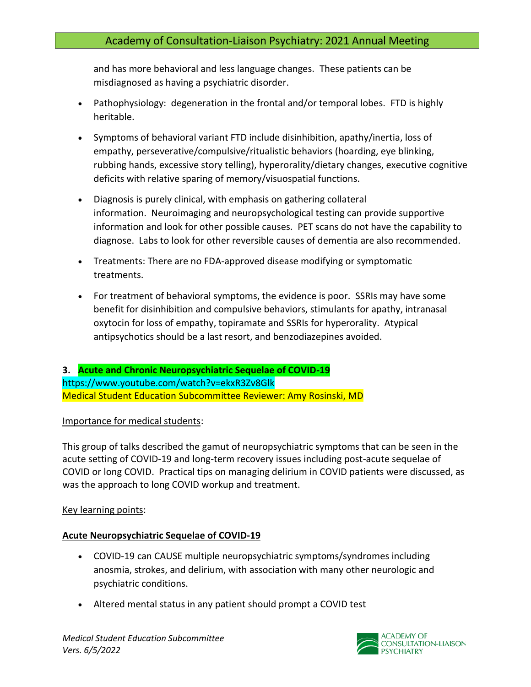and has more behavioral and less language changes. These patients can be misdiagnosed as having a psychiatric disorder.

- Pathophysiology: degeneration in the frontal and/or temporal lobes. FTD is highly heritable.
- Symptoms of behavioral variant FTD include disinhibition, apathy/inertia, loss of empathy, perseverative/compulsive/ritualistic behaviors (hoarding, eye blinking, rubbing hands, excessive story telling), hyperorality/dietary changes, executive cognitive deficits with relative sparing of memory/visuospatial functions.
- Diagnosis is purely clinical, with emphasis on gathering collateral information. Neuroimaging and neuropsychological testing can provide supportive information and look for other possible causes. PET scans do not have the capability to diagnose. Labs to look for other reversible causes of dementia are also recommended.
- Treatments: There are no FDA-approved disease modifying or symptomatic treatments.
- For treatment of behavioral symptoms, the evidence is poor. SSRIs may have some benefit for disinhibition and compulsive behaviors, stimulants for apathy, intranasal oxytocin for loss of empathy, topiramate and SSRIs for hyperorality. Atypical antipsychotics should be a last resort, and benzodiazepines avoided.

**3. Acute and Chronic Neuropsychiatric Sequelae of COVID-19** https://www.youtube.com/watch?v=ekxR3Zv8Glk Medical Student Education Subcommittee Reviewer: Amy Rosinski, MD

### Importance for medical students:

This group of talks described the gamut of neuropsychiatric symptoms that can be seen in the acute setting of COVID-19 and long-term recovery issues including post-acute sequelae of COVID or long COVID. Practical tips on managing delirium in COVID patients were discussed, as was the approach to long COVID workup and treatment.

### Key learning points:

### **Acute Neuropsychiatric Sequelae of COVID-19**

- COVID-19 can CAUSE multiple neuropsychiatric symptoms/syndromes including anosmia, strokes, and delirium, with association with many other neurologic and psychiatric conditions.
- Altered mental status in any patient should prompt a COVID test

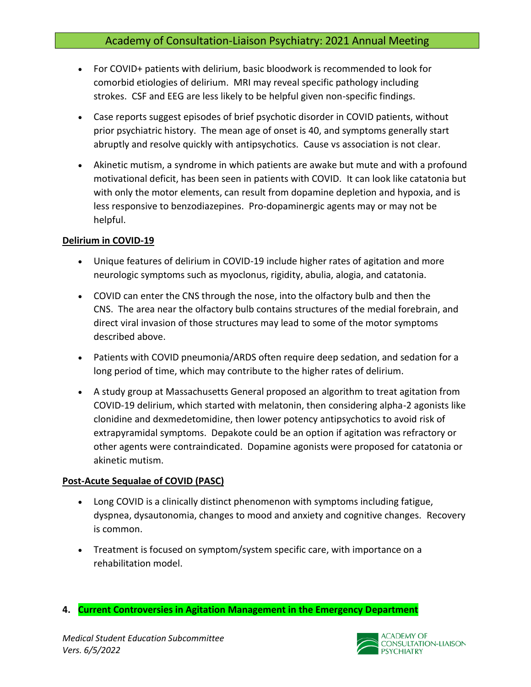- For COVID+ patients with delirium, basic bloodwork is recommended to look for comorbid etiologies of delirium. MRI may reveal specific pathology including strokes. CSF and EEG are less likely to be helpful given non-specific findings.
- Case reports suggest episodes of brief psychotic disorder in COVID patients, without prior psychiatric history. The mean age of onset is 40, and symptoms generally start abruptly and resolve quickly with antipsychotics. Cause vs association is not clear.
- Akinetic mutism, a syndrome in which patients are awake but mute and with a profound motivational deficit, has been seen in patients with COVID. It can look like catatonia but with only the motor elements, can result from dopamine depletion and hypoxia, and is less responsive to benzodiazepines. Pro-dopaminergic agents may or may not be helpful.

#### **Delirium in COVID-19**

- Unique features of delirium in COVID-19 include higher rates of agitation and more neurologic symptoms such as myoclonus, rigidity, abulia, alogia, and catatonia.
- COVID can enter the CNS through the nose, into the olfactory bulb and then the CNS. The area near the olfactory bulb contains structures of the medial forebrain, and direct viral invasion of those structures may lead to some of the motor symptoms described above.
- Patients with COVID pneumonia/ARDS often require deep sedation, and sedation for a long period of time, which may contribute to the higher rates of delirium.
- A study group at Massachusetts General proposed an algorithm to treat agitation from COVID-19 delirium, which started with melatonin, then considering alpha-2 agonists like clonidine and dexmedetomidine, then lower potency antipsychotics to avoid risk of extrapyramidal symptoms. Depakote could be an option if agitation was refractory or other agents were contraindicated. Dopamine agonists were proposed for catatonia or akinetic mutism.

### **Post-Acute Sequalae of COVID (PASC)**

- Long COVID is a clinically distinct phenomenon with symptoms including fatigue, dyspnea, dysautonomia, changes to mood and anxiety and cognitive changes. Recovery is common.
- Treatment is focused on symptom/system specific care, with importance on a rehabilitation model.
- **4. Current Controversies in Agitation Management in the Emergency Department**

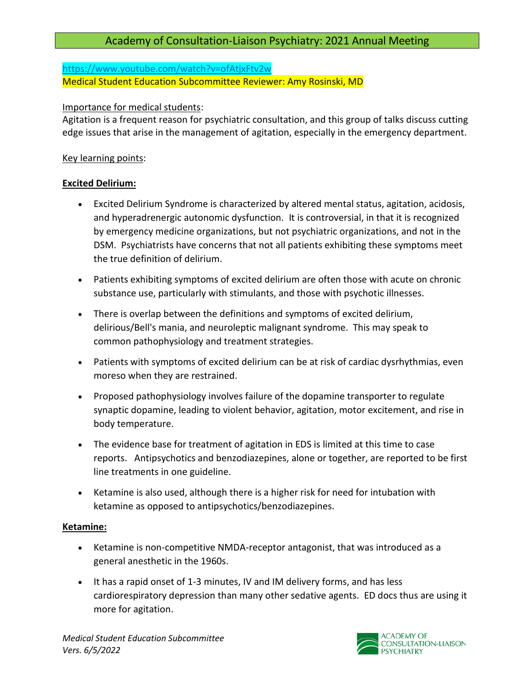<https://www.youtube.com/watch?v=ofAtjxFtv2w> Medical Student Education Subcommittee Reviewer: Amy Rosinski, MD

Importance for medical students:

Agitation is a frequent reason for psychiatric consultation, and this group of talks discuss cutting edge issues that arise in the management of agitation, especially in the emergency department.

## Key learning points:

## **Excited Delirium:**

- Excited Delirium Syndrome is characterized by altered mental status, agitation, acidosis, and hyperadrenergic autonomic dysfunction. It is controversial, in that it is recognized by emergency medicine organizations, but not psychiatric organizations, and not in the DSM. Psychiatrists have concerns that not all patients exhibiting these symptoms meet the true definition of delirium.
- Patients exhibiting symptoms of excited delirium are often those with acute on chronic substance use, particularly with stimulants, and those with psychotic illnesses.
- There is overlap between the definitions and symptoms of excited delirium, delirious/Bell's mania, and neuroleptic malignant syndrome. This may speak to common pathophysiology and treatment strategies.
- Patients with symptoms of excited delirium can be at risk of cardiac dysrhythmias, even moreso when they are restrained.
- Proposed pathophysiology involves failure of the dopamine transporter to regulate synaptic dopamine, leading to violent behavior, agitation, motor excitement, and rise in body temperature.
- The evidence base for treatment of agitation in EDS is limited at this time to case reports. Antipsychotics and benzodiazepines, alone or together, are reported to be first line treatments in one guideline.
- Ketamine is also used, although there is a higher risk for need for intubation with ketamine as opposed to antipsychotics/benzodiazepines.

### **Ketamine:**

- Ketamine is non-competitive NMDA-receptor antagonist, that was introduced as a general anesthetic in the 1960s.
- It has a rapid onset of 1-3 minutes, IV and IM delivery forms, and has less cardiorespiratory depression than many other sedative agents. ED docs thus are using it more for agitation.

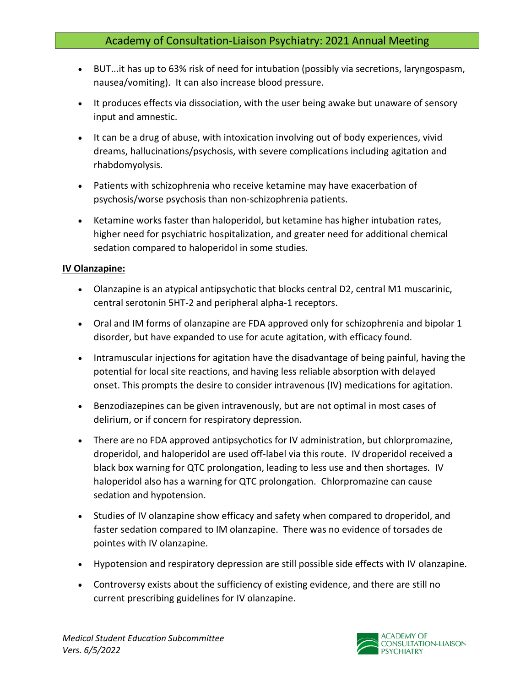- BUT...it has up to 63% risk of need for intubation (possibly via secretions, laryngospasm, nausea/vomiting). It can also increase blood pressure.
- It produces effects via dissociation, with the user being awake but unaware of sensory input and amnestic.
- It can be a drug of abuse, with intoxication involving out of body experiences, vivid dreams, hallucinations/psychosis, with severe complications including agitation and rhabdomyolysis.
- Patients with schizophrenia who receive ketamine may have exacerbation of psychosis/worse psychosis than non-schizophrenia patients.
- Ketamine works faster than haloperidol, but ketamine has higher intubation rates, higher need for psychiatric hospitalization, and greater need for additional chemical sedation compared to haloperidol in some studies.

#### **IV Olanzapine:**

- Olanzapine is an atypical antipsychotic that blocks central D2, central M1 muscarinic, central serotonin 5HT-2 and peripheral alpha-1 receptors.
- Oral and IM forms of olanzapine are FDA approved only for schizophrenia and bipolar 1 disorder, but have expanded to use for acute agitation, with efficacy found.
- Intramuscular injections for agitation have the disadvantage of being painful, having the potential for local site reactions, and having less reliable absorption with delayed onset. This prompts the desire to consider intravenous (IV) medications for agitation.
- Benzodiazepines can be given intravenously, but are not optimal in most cases of delirium, or if concern for respiratory depression.
- There are no FDA approved antipsychotics for IV administration, but chlorpromazine, droperidol, and haloperidol are used off-label via this route. IV droperidol received a black box warning for QTC prolongation, leading to less use and then shortages. IV haloperidol also has a warning for QTC prolongation. Chlorpromazine can cause sedation and hypotension.
- Studies of IV olanzapine show efficacy and safety when compared to droperidol, and faster sedation compared to IM olanzapine. There was no evidence of torsades de pointes with IV olanzapine.
- Hypotension and respiratory depression are still possible side effects with IV olanzapine.
- Controversy exists about the sufficiency of existing evidence, and there are still no current prescribing guidelines for IV olanzapine.

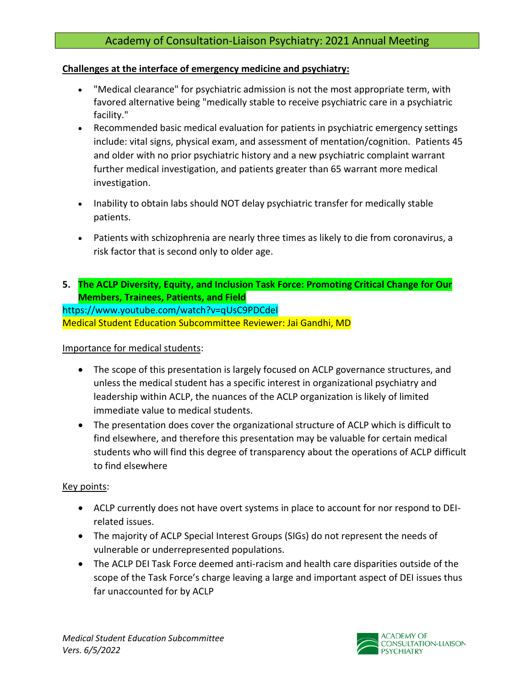## **Challenges at the interface of emergency medicine and psychiatry:**

- "Medical clearance" for psychiatric admission is not the most appropriate term, with favored alternative being "medically stable to receive psychiatric care in a psychiatric facility."
- Recommended basic medical evaluation for patients in psychiatric emergency settings include: vital signs, physical exam, and assessment of mentation/cognition. Patients 45 and older with no prior psychiatric history and a new psychiatric complaint warrant further medical investigation, and patients greater than 65 warrant more medical investigation.
- Inability to obtain labs should NOT delay psychiatric transfer for medically stable patients.
- Patients with schizophrenia are nearly three times as likely to die from coronavirus, a risk factor that is second only to older age.
- **5. The ACLP Diversity, Equity, and Inclusion Task Force: Promoting Critical Change for Our Members, Trainees, Patients, and Field**

https://www.youtube.com/watch?v=qUsC9PDCdeI Medical Student Education Subcommittee Reviewer: Jai Gandhi, MD

### Importance for medical students:

- The scope of this presentation is largely focused on ACLP governance structures, and unless the medical student has a specific interest in organizational psychiatry and leadership within ACLP, the nuances of the ACLP organization is likely of limited immediate value to medical students.
- The presentation does cover the organizational structure of ACLP which is difficult to find elsewhere, and therefore this presentation may be valuable for certain medical students who will find this degree of transparency about the operations of ACLP difficult to find elsewhere

### Key points:

- ACLP currently does not have overt systems in place to account for nor respond to DEIrelated issues.
- The majority of ACLP Special Interest Groups (SIGs) do not represent the needs of vulnerable or underrepresented populations.
- The ACLP DEI Task Force deemed anti-racism and health care disparities outside of the scope of the Task Force's charge leaving a large and important aspect of DEI issues thus far unaccounted for by ACLP

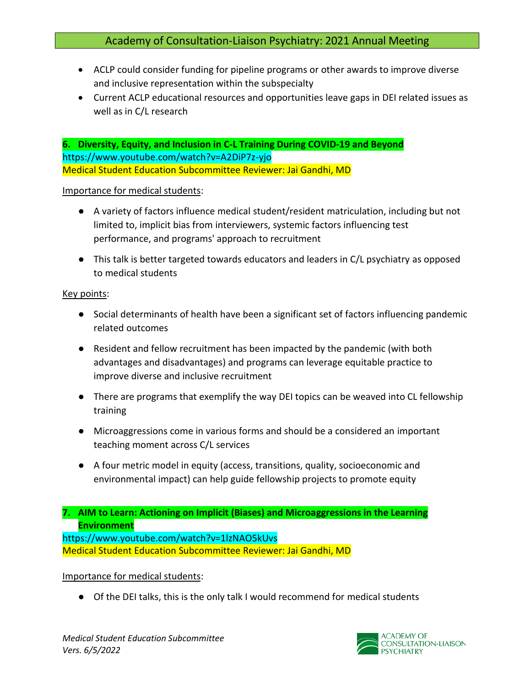- ACLP could consider funding for pipeline programs or other awards to improve diverse and inclusive representation within the subspecialty
- Current ACLP educational resources and opportunities leave gaps in DEI related issues as well as in C/L research

**6. Diversity, Equity, and Inclusion in C-L Training During COVID-19 and Beyond** https://www.youtube.com/watch?v=A2DiP7z-yjo Medical Student Education Subcommittee Reviewer: Jai Gandhi, MD

#### Importance for medical students:

- A variety of factors influence medical student/resident matriculation, including but not limited to, implicit bias from interviewers, systemic factors influencing test performance, and programs' approach to recruitment
- This talk is better targeted towards educators and leaders in C/L psychiatry as opposed to medical students

#### Key points:

- Social determinants of health have been a significant set of factors influencing pandemic related outcomes
- Resident and fellow recruitment has been impacted by the pandemic (with both advantages and disadvantages) and programs can leverage equitable practice to improve diverse and inclusive recruitment
- There are programs that exemplify the way DEI topics can be weaved into CL fellowship training
- Microaggressions come in various forms and should be a considered an important teaching moment across C/L services
- A four metric model in equity (access, transitions, quality, socioeconomic and environmental impact) can help guide fellowship projects to promote equity

**7. AIM to Learn: Actioning on Implicit (Biases) and Microaggressions in the Learning Environment**

https://www.youtube.com/watch?v=1lzNAO5kUvs Medical Student Education Subcommittee Reviewer: Jai Gandhi, MD

### Importance for medical students:

● Of the DEI talks, this is the only talk I would recommend for medical students

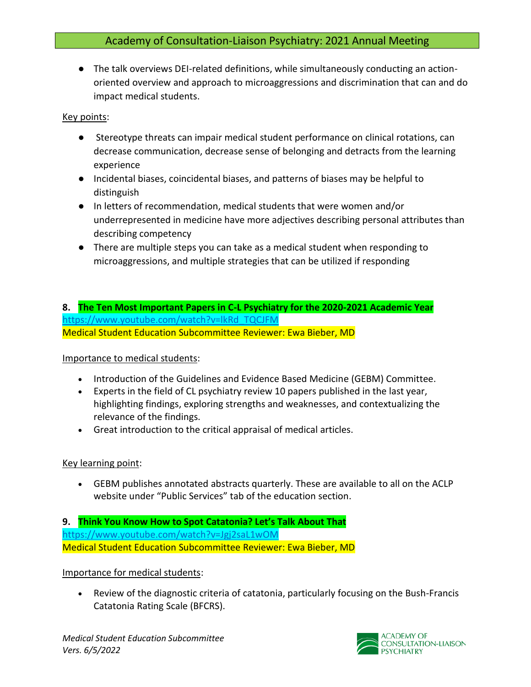● The talk overviews DEI-related definitions, while simultaneously conducting an actionoriented overview and approach to microaggressions and discrimination that can and do impact medical students.

#### Key points:

- Stereotype threats can impair medical student performance on clinical rotations, can decrease communication, decrease sense of belonging and detracts from the learning experience
- Incidental biases, coincidental biases, and patterns of biases may be helpful to distinguish
- In letters of recommendation, medical students that were women and/or underrepresented in medicine have more adjectives describing personal attributes than describing competency
- There are multiple steps you can take as a medical student when responding to microaggressions, and multiple strategies that can be utilized if responding

## **8. The Ten Most Important Papers in C-L Psychiatry for the 2020-2021 Academic Year** [https://www.youtube.com/watch?v=lkRd\\_TQCJFM](https://www.youtube.com/watch?v=lkRd_TQCJFM) Medical Student Education Subcommittee Reviewer: Ewa Bieber, MD

### Importance to medical students:

- Introduction of the Guidelines and Evidence Based Medicine (GEBM) Committee.
- Experts in the field of CL psychiatry review 10 papers published in the last year, highlighting findings, exploring strengths and weaknesses, and contextualizing the relevance of the findings.
- Great introduction to the critical appraisal of medical articles.

### Key learning point:

• GEBM publishes annotated abstracts quarterly. These are available to all on the ACLP website under "Public Services" tab of the education section.

#### **9. Think You Know How to Spot Catatonia? Let's Talk About That** <https://www.youtube.com/watch?v=Jgj2saL1wOM> Medical Student Education Subcommittee Reviewer: Ewa Bieber, MD

### Importance for medical students:

• Review of the diagnostic criteria of catatonia, particularly focusing on the Bush-Francis Catatonia Rating Scale (BFCRS).

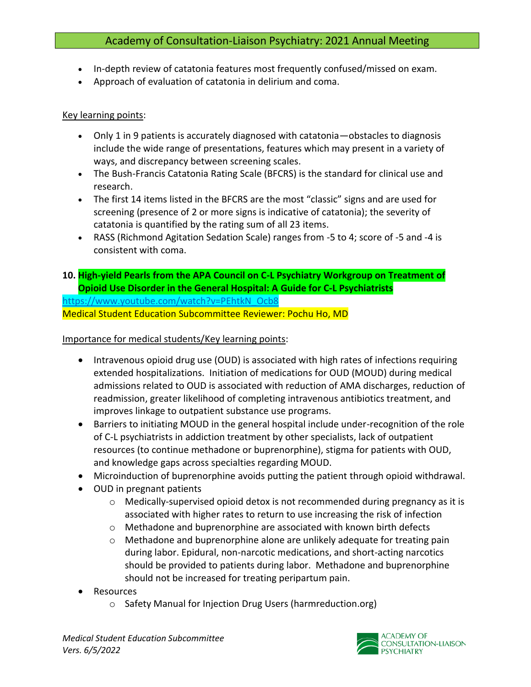- In-depth review of catatonia features most frequently confused/missed on exam.
- Approach of evaluation of catatonia in delirium and coma.

#### Key learning points:

- Only 1 in 9 patients is accurately diagnosed with catatonia—obstacles to diagnosis include the wide range of presentations, features which may present in a variety of ways, and discrepancy between screening scales.
- The Bush-Francis Catatonia Rating Scale (BFCRS) is the standard for clinical use and research.
- The first 14 items listed in the BFCRS are the most "classic" signs and are used for screening (presence of 2 or more signs is indicative of catatonia); the severity of catatonia is quantified by the rating sum of all 23 items.
- RASS (Richmond Agitation Sedation Scale) ranges from -5 to 4; score of -5 and -4 is consistent with coma.
- **10. High-yield Pearls from the APA Council on C-L Psychiatry Workgroup on Treatment of Opioid Use Disorder in the General Hospital: A Guide for C-L Psychiatrists**

[https://www.youtube.com/watch?v=PEhtkN\\_Ocb8](https://www.youtube.com/watch?v=PEhtkN_Ocb8) Medical Student Education Subcommittee Reviewer: Pochu Ho, MD

Importance for medical students/Key learning points:

- Intravenous opioid drug use (OUD) is associated with high rates of infections requiring extended hospitalizations. Initiation of medications for OUD (MOUD) during medical admissions related to OUD is associated with reduction of AMA discharges, reduction of readmission, greater likelihood of completing intravenous antibiotics treatment, and improves linkage to outpatient substance use programs.
- Barriers to initiating MOUD in the general hospital include under-recognition of the role of C-L psychiatrists in addiction treatment by other specialists, lack of outpatient resources (to continue methadone or buprenorphine), stigma for patients with OUD, and knowledge gaps across specialties regarding MOUD.
- Microinduction of buprenorphine avoids putting the patient through opioid withdrawal.
- OUD in pregnant patients
	- $\circ$  Medically-supervised opioid detox is not recommended during pregnancy as it is associated with higher rates to return to use increasing the risk of infection
	- o Methadone and buprenorphine are associated with known birth defects
	- $\circ$  Methadone and buprenorphine alone are unlikely adequate for treating pain during labor. Epidural, non-narcotic medications, and short-acting narcotics should be provided to patients during labor. Methadone and buprenorphine should not be increased for treating peripartum pain.
- **Resources** 
	- o Safety Manual for Injection Drug Users (harmreduction.org)

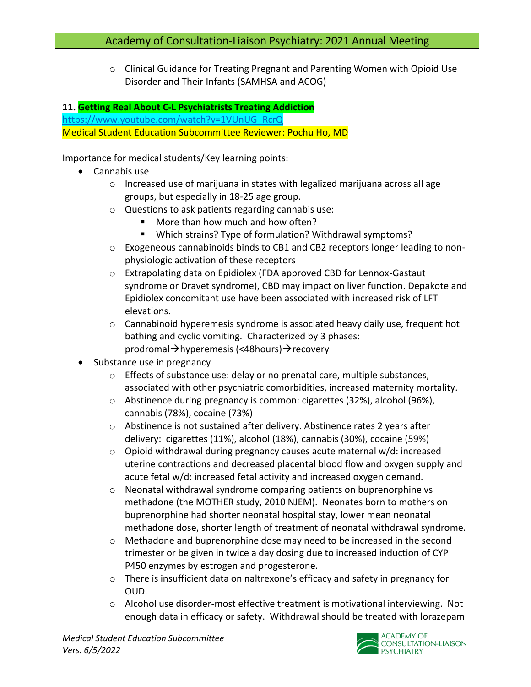o Clinical Guidance for Treating Pregnant and Parenting Women with Opioid Use Disorder and Their Infants (SAMHSA and ACOG)

## **11. Getting Real About C-L Psychiatrists Treating Addiction**

[https://www.youtube.com/watch?v=1VUnUG\\_RcrQ](https://www.youtube.com/watch?v=1VUnUG_RcrQ) Medical Student Education Subcommittee Reviewer: Pochu Ho, MD

### Importance for medical students/Key learning points:

- Cannabis use
	- $\circ$  Increased use of marijuana in states with legalized marijuana across all age groups, but especially in 18-25 age group.
	- o Questions to ask patients regarding cannabis use:
		- More than how much and how often?
		- Which strains? Type of formulation? Withdrawal symptoms?
	- o Exogeneous cannabinoids binds to CB1 and CB2 receptors longer leading to nonphysiologic activation of these receptors
	- o Extrapolating data on Epidiolex (FDA approved CBD for Lennox-Gastaut syndrome or Dravet syndrome), CBD may impact on liver function. Depakote and Epidiolex concomitant use have been associated with increased risk of LFT elevations.
	- o Cannabinoid hyperemesis syndrome is associated heavy daily use, frequent hot bathing and cyclic vomiting. Characterized by 3 phases: prodromal→hyperemesis (<48hours)→recovery
- Substance use in pregnancy
	- $\circ$  Effects of substance use: delay or no prenatal care, multiple substances, associated with other psychiatric comorbidities, increased maternity mortality.
	- o Abstinence during pregnancy is common: cigarettes (32%), alcohol (96%), cannabis (78%), cocaine (73%)
	- o Abstinence is not sustained after delivery. Abstinence rates 2 years after delivery: cigarettes (11%), alcohol (18%), cannabis (30%), cocaine (59%)
	- $\circ$  Opioid withdrawal during pregnancy causes acute maternal w/d: increased uterine contractions and decreased placental blood flow and oxygen supply and acute fetal w/d: increased fetal activity and increased oxygen demand.
	- o Neonatal withdrawal syndrome comparing patients on buprenorphine vs methadone (the MOTHER study, 2010 NJEM). Neonates born to mothers on buprenorphine had shorter neonatal hospital stay, lower mean neonatal methadone dose, shorter length of treatment of neonatal withdrawal syndrome.
	- $\circ$  Methadone and buprenorphine dose may need to be increased in the second trimester or be given in twice a day dosing due to increased induction of CYP P450 enzymes by estrogen and progesterone.
	- o There is insufficient data on naltrexone's efficacy and safety in pregnancy for OUD.
	- $\circ$  Alcohol use disorder-most effective treatment is motivational interviewing. Not enough data in efficacy or safety. Withdrawal should be treated with lorazepam

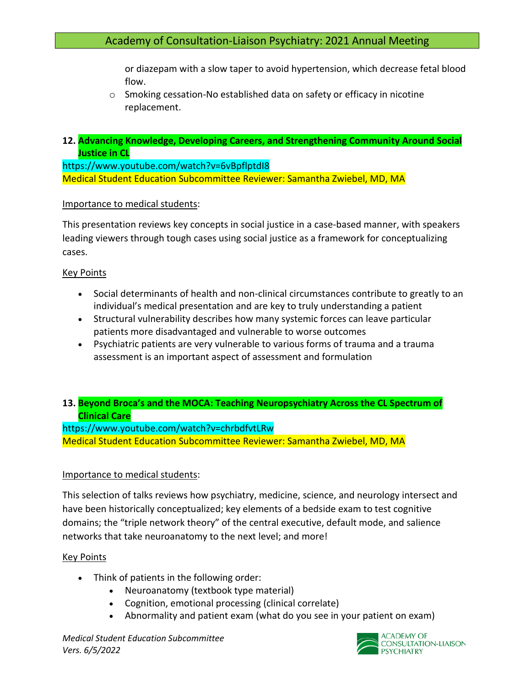or diazepam with a slow taper to avoid hypertension, which decrease fetal blood flow.

o Smoking cessation-No established data on safety or efficacy in nicotine replacement.

## **12. Advancing Knowledge, Developing Careers, and Strengthening Community Around Social Justice in CL**

https://www.youtube.com/watch?v=6vBpflptdI8 Medical Student Education Subcommittee Reviewer: Samantha Zwiebel, MD, MA

#### Importance to medical students:

This presentation reviews key concepts in social justice in a case-based manner, with speakers leading viewers through tough cases using social justice as a framework for conceptualizing cases.

### Key Points

- Social determinants of health and non-clinical circumstances contribute to greatly to an individual's medical presentation and are key to truly understanding a patient
- Structural vulnerability describes how many systemic forces can leave particular patients more disadvantaged and vulnerable to worse outcomes
- Psychiatric patients are very vulnerable to various forms of trauma and a trauma assessment is an important aspect of assessment and formulation

### **13. Beyond Broca's and the MOCA: Teaching Neuropsychiatry Across the CL Spectrum of Clinical Care**

https://www.youtube.com/watch?v=chrbdfvtLRw Medical Student Education Subcommittee Reviewer: Samantha Zwiebel, MD, MA

### Importance to medical students:

This selection of talks reviews how psychiatry, medicine, science, and neurology intersect and have been historically conceptualized; key elements of a bedside exam to test cognitive domains; the "triple network theory" of the central executive, default mode, and salience networks that take neuroanatomy to the next level; and more!

#### Key Points

- Think of patients in the following order:
	- Neuroanatomy (textbook type material)
	- Cognition, emotional processing (clinical correlate)
	- Abnormality and patient exam (what do you see in your patient on exam)